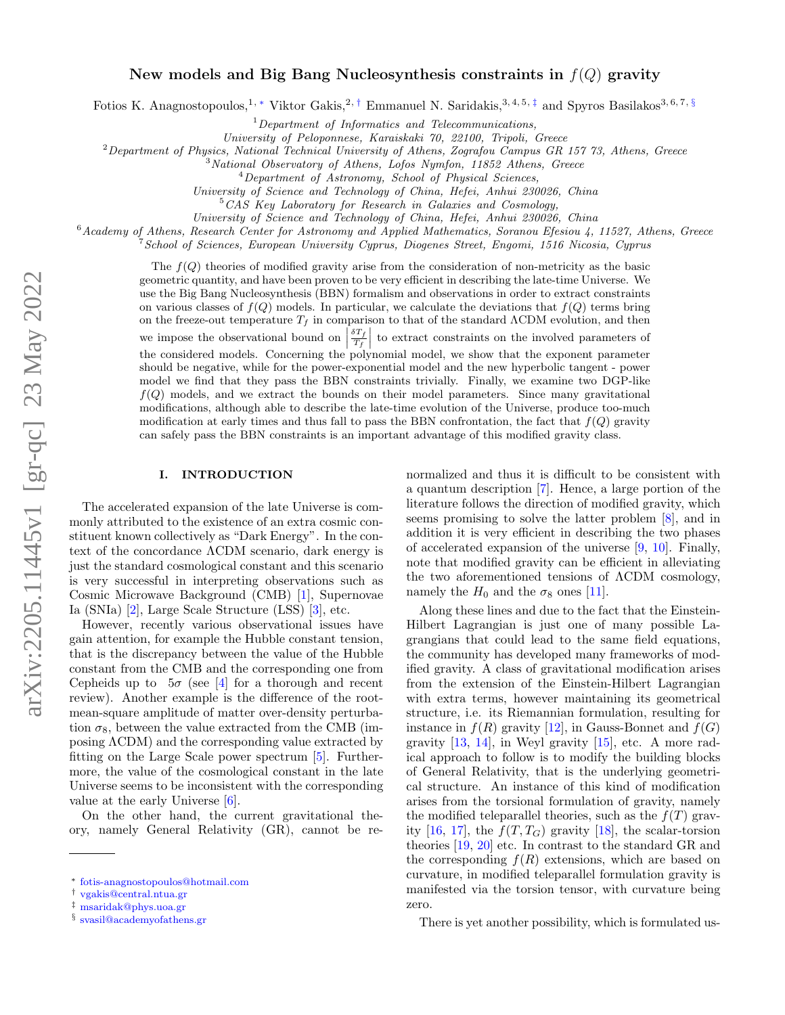# New models and Big Bang Nucleosynthesis constraints in  $f(Q)$  gravity

Fotios K. Anagnostopoulos,<sup>1, \*</sup> Viktor Gakis,<sup>2, †</sup> Emmanuel N. Saridakis,<sup>3, 4, 5, ‡</sup> and Spyros Basilakos<sup>3, 6, 7, §</sup>

 $1$ Department of Informatics and Telecommunications,

University of Peloponnese, Karaiskaki 70, 22100, Tripoli, Greece

 $2$ Department of Physics, National Technical University of Athens, Zografou Campus GR 157 73, Athens, Greece

<sup>3</sup>National Observatory of Athens, Lofos Nymfon, 11852 Athens, Greece

University of Science and Technology of China, Hefei, Anhui 230026, China

<sup>5</sup>CAS Key Laboratory for Research in Galaxies and Cosmology,

University of Science and Technology of China, Hefei, Anhui 230026, China

 $6$ Academy of Athens, Research Center for Astronomy and Applied Mathematics, Soranou Efesiou 4, 11527, Athens, Greece

<sup>7</sup>School of Sciences, European University Cyprus, Diogenes Street, Engomi, 1516 Nicosia, Cyprus

The  $f(Q)$  theories of modified gravity arise from the consideration of non-metricity as the basic geometric quantity, and have been proven to be very efficient in describing the late-time Universe. We use the Big Bang Nucleosynthesis (BBN) formalism and observations in order to extract constraints on various classes of  $f(Q)$  models. In particular, we calculate the deviations that  $f(Q)$  terms bring on the freeze-out temperature  $T_f$  in comparison to that of the standard ΛCDM evolution, and then we impose the observational bound on  $\left|\frac{\delta T_f}{T_f}\right|$ the considered models. Concerning the polynomial model, we show that the exponent parameter  $\frac{dT_f}{T_f}$  to extract constraints on the involved parameters of should be negative, while for the power-exponential model and the new hyperbolic tangent - power model we find that they pass the BBN constraints trivially. Finally, we examine two DGP-like  $f(Q)$  models, and we extract the bounds on their model parameters. Since many gravitational modifications, although able to describe the late-time evolution of the Universe, produce too-much modification at early times and thus fall to pass the BBN confrontation, the fact that  $f(Q)$  gravity can safely pass the BBN constraints is an important advantage of this modified gravity class.

## I. INTRODUCTION

The accelerated expansion of the late Universe is commonly attributed to the existence of an extra cosmic constituent known collectively as "Dark Energy". In the context of the concordance ΛCDM scenario, dark energy is just the standard cosmological constant and this scenario is very successful in interpreting observations such as Cosmic Microwave Background (CMB) [1], Supernovae Ia (SNIa) [2], Large Scale Structure (LSS) [3], etc.

However, recently various observational issues have gain attention, for example the Hubble constant tension, that is the discrepancy between the value of the Hubble constant from the CMB and the corresponding one from Cepheids up to  $5\sigma$  (see [4] for a thorough and recent review). Another example is the difference of the rootmean-square amplitude of matter over-density perturbation  $\sigma_8$ , between the value extracted from the CMB (imposing ΛCDM) and the corresponding value extracted by fitting on the Large Scale power spectrum [5]. Furthermore, the value of the cosmological constant in the late Universe seems to be inconsistent with the corresponding value at the early Universe [6].

On the other hand, the current gravitational theory, namely General Relativity (GR), cannot be renormalized and thus it is difficult to be consistent with a quantum description [7]. Hence, a large portion of the literature follows the direction of modified gravity, which seems promising to solve the latter problem [8], and in addition it is very efficient in describing the two phases of accelerated expansion of the universe [9, 10]. Finally, note that modified gravity can be efficient in alleviating the two aforementioned tensions of ΛCDM cosmology, namely the  $H_0$  and the  $\sigma_8$  ones [11].

Along these lines and due to the fact that the Einstein-Hilbert Lagrangian is just one of many possible Lagrangians that could lead to the same field equations, the community has developed many frameworks of modified gravity. A class of gravitational modification arises from the extension of the Einstein-Hilbert Lagrangian with extra terms, however maintaining its geometrical structure, i.e. its Riemannian formulation, resulting for instance in  $f(R)$  gravity [12], in Gauss-Bonnet and  $f(G)$ gravity [13, 14], in Weyl gravity [15], etc. A more radical approach to follow is to modify the building blocks of General Relativity, that is the underlying geometrical structure. An instance of this kind of modification arises from the torsional formulation of gravity, namely the modified teleparallel theories, such as the  $f(T)$  gravity [16, 17], the  $f(T, T_G)$  gravity [18], the scalar-torsion theories [19, 20] etc. In contrast to the standard GR and the corresponding  $f(R)$  extensions, which are based on curvature, in modified teleparallel formulation gravity is manifested via the torsion tensor, with curvature being zero.

There is yet another possibility, which is formulated us-

<sup>4</sup>Department of Astronomy, School of Physical Sciences,

<sup>∗</sup> fotis-anagnostopoulos@hotmail.com

<sup>†</sup> vgakis@central.ntua.gr

<sup>‡</sup> msaridak@phys.uoa.gr

<sup>§</sup> svasil@academyofathens.gr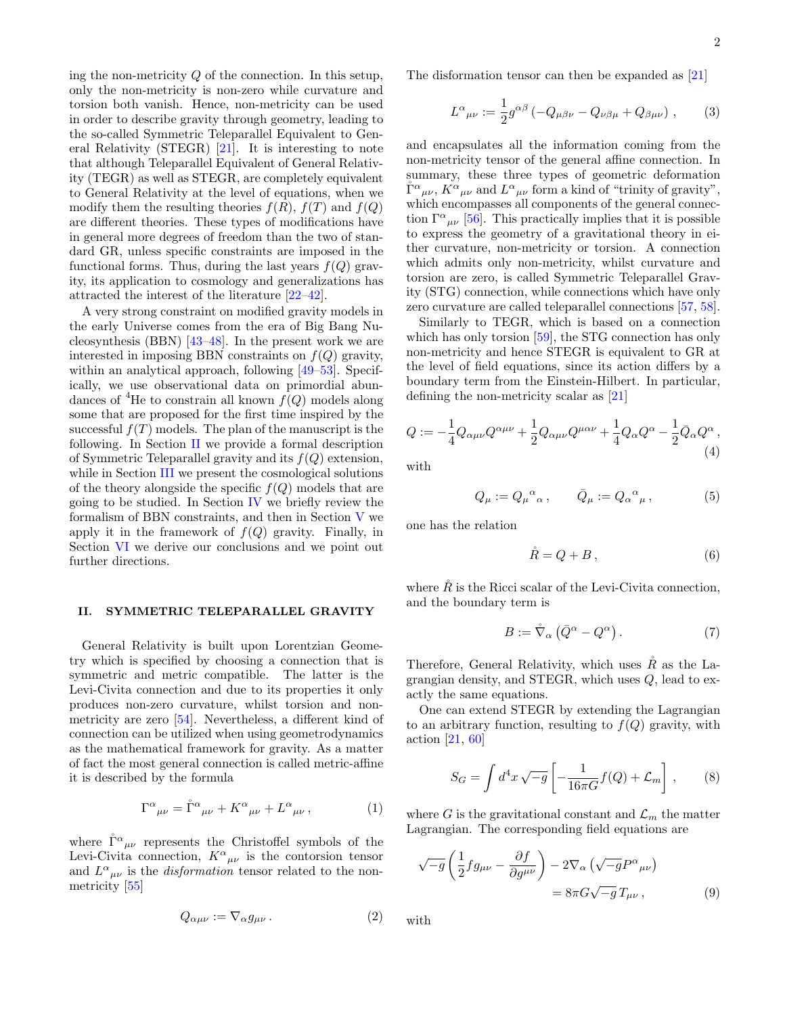ing the non-metricity  $Q$  of the connection. In this setup, only the non-metricity is non-zero while curvature and torsion both vanish. Hence, non-metricity can be used in order to describe gravity through geometry, leading to the so-called Symmetric Teleparallel Equivalent to General Relativity (STEGR) [21]. It is interesting to note that although Teleparallel Equivalent of General Relativity (TEGR) as well as STEGR, are completely equivalent to General Relativity at the level of equations, when we modify them the resulting theories  $f(R)$ ,  $f(T)$  and  $f(Q)$ are different theories. These types of modifications have in general more degrees of freedom than the two of standard GR, unless specific constraints are imposed in the functional forms. Thus, during the last years  $f(Q)$  gravity, its application to cosmology and generalizations has attracted the interest of the literature [22–42].

A very strong constraint on modified gravity models in the early Universe comes from the era of Big Bang Nucleosynthesis (BBN) [43–48]. In the present work we are interested in imposing BBN constraints on  $f(Q)$  gravity, within an analytical approach, following [49–53]. Specifically, we use observational data on primordial abundances of <sup>4</sup>He to constrain all known  $f(Q)$  models along some that are proposed for the first time inspired by the successful  $f(T)$  models. The plan of the manuscript is the following. In Section II we provide a formal description of Symmetric Teleparallel gravity and its  $f(Q)$  extension, while in Section III we present the cosmological solutions of the theory alongside the specific  $f(Q)$  models that are going to be studied. In Section IV we briefly review the formalism of BBN constraints, and then in Section V we apply it in the framework of  $f(Q)$  gravity. Finally, in Section VI we derive our conclusions and we point out further directions.

### II. SYMMETRIC TELEPARALLEL GRAVITY

General Relativity is built upon Lorentzian Geometry which is specified by choosing a connection that is symmetric and metric compatible. The latter is the Levi-Civita connection and due to its properties it only produces non-zero curvature, whilst torsion and nonmetricity are zero [54]. Nevertheless, a different kind of connection can be utilized when using geometrodynamics as the mathematical framework for gravity. As a matter of fact the most general connection is called metric-affine it is described by the formula

$$
\Gamma^{\alpha}{}_{\mu\nu} = \mathring{\Gamma}^{\alpha}{}_{\mu\nu} + K^{\alpha}{}_{\mu\nu} + L^{\alpha}{}_{\mu\nu} , \qquad (1)
$$

where  $\mathring{\Gamma}^{\alpha}{}_{\mu\nu}$  represents the Christoffel symbols of the Levi-Civita connection,  $K^{\alpha}{}_{\mu\nu}$  is the contorsion tensor and  $L^{\alpha}{}_{\mu\nu}$  is the *disformation* tensor related to the nonmetricity [55]

$$
Q_{\alpha\mu\nu} := \nabla_{\alpha} g_{\mu\nu} \,. \tag{2}
$$

2

The disformation tensor can then be expanded as [21]

$$
L^{\alpha}{}_{\mu\nu} := \frac{1}{2} g^{\alpha\beta} \left( -Q_{\mu\beta\nu} - Q_{\nu\beta\mu} + Q_{\beta\mu\nu} \right) ,\qquad(3)
$$

and encapsulates all the information coming from the non-metricity tensor of the general affine connection. In summary, these three types of geometric deformation  $\mathring{\Gamma}^{\alpha}{}_{\mu\nu}$ ,  $K^{\alpha}{}_{\mu\nu}$  and  $L^{\alpha}{}_{\mu\nu}$  form a kind of "trinity of gravity", which encompasses all components of the general connection  $\Gamma^{\alpha}{}_{\mu\nu}$  [56]. This practically implies that it is possible to express the geometry of a gravitational theory in either curvature, non-metricity or torsion. A connection which admits only non-metricity, whilst curvature and torsion are zero, is called Symmetric Teleparallel Gravity (STG) connection, while connections which have only zero curvature are called teleparallel connections [57, 58].

Similarly to TEGR, which is based on a connection which has only torsion [59], the STG connection has only non-metricity and hence STEGR is equivalent to GR at the level of field equations, since its action differs by a boundary term from the Einstein-Hilbert. In particular, defining the non-metricity scalar as [21]

$$
Q := -\frac{1}{4}Q_{\alpha\mu\nu}Q^{\alpha\mu\nu} + \frac{1}{2}Q_{\alpha\mu\nu}Q^{\mu\alpha\nu} + \frac{1}{4}Q_{\alpha}Q^{\alpha} - \frac{1}{2}\bar{Q}_{\alpha}Q^{\alpha},
$$
\n(4)

with

$$
Q_{\mu} := Q_{\mu}{}^{\alpha}{}_{\alpha} , \qquad \bar{Q}_{\mu} := Q_{\alpha}{}^{\alpha}{}_{\mu} , \qquad (5)
$$

one has the relation

$$
\mathring{R} = Q + B\,,\tag{6}
$$

where  $\hat{R}$  is the Ricci scalar of the Levi-Civita connection, and the boundary term is

$$
B := \mathring{\nabla}_{\alpha} \left( \bar{Q}^{\alpha} - Q^{\alpha} \right). \tag{7}
$$

Therefore, General Relativity, which uses  $\hat{R}$  as the Lagrangian density, and STEGR, which uses Q, lead to exactly the same equations.

One can extend STEGR by extending the Lagrangian to an arbitrary function, resulting to  $f(Q)$  gravity, with action [21, 60]

$$
S_G = \int d^4x \sqrt{-g} \left[ -\frac{1}{16\pi G} f(Q) + \mathcal{L}_m \right],\qquad(8)
$$

where G is the gravitational constant and  $\mathcal{L}_m$  the matter Lagrangian. The corresponding field equations are

$$
\sqrt{-g} \left( \frac{1}{2} f g_{\mu\nu} - \frac{\partial f}{\partial g^{\mu\nu}} \right) - 2 \nabla_{\alpha} \left( \sqrt{-g} P^{\alpha}{}_{\mu\nu} \right) \n= 8 \pi G \sqrt{-g} T_{\mu\nu} ,
$$
\n(9)

with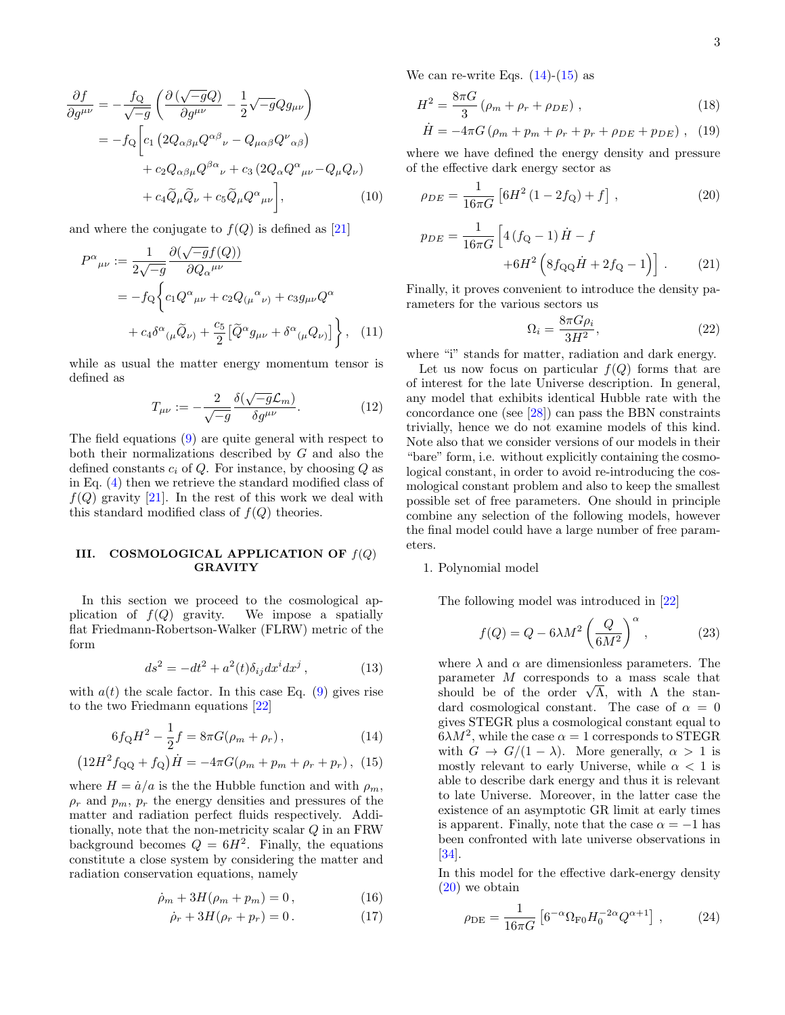$$
\frac{\partial f}{\partial g^{\mu\nu}} = -\frac{f_Q}{\sqrt{-g}} \left( \frac{\partial \left( \sqrt{-g} Q \right)}{\partial g^{\mu\nu}} - \frac{1}{2} \sqrt{-g} Q g_{\mu\nu} \right)
$$

$$
= -f_Q \left[ c_1 \left( 2Q_{\alpha\beta\mu} Q^{\alpha\beta}{}_{\nu} - Q_{\mu\alpha\beta} Q^{\nu}{}_{\alpha\beta} \right) \right]
$$

$$
+ c_2 Q_{\alpha\beta\mu} Q^{\beta\alpha}{}_{\nu} + c_3 \left( 2Q_{\alpha} Q^{\alpha}{}_{\mu\nu} - Q_{\mu} Q_{\nu} \right)
$$

$$
+ c_4 \widetilde{Q}_{\mu} \widetilde{Q}_{\nu} + c_5 \widetilde{Q}_{\mu} Q^{\alpha}{}_{\mu\nu} \right], \tag{10}
$$

and where the conjugate to  $f(Q)$  is defined as [21]

$$
P^{\alpha}{}_{\mu\nu} := \frac{1}{2\sqrt{-g}} \frac{\partial(\sqrt{-g}f(Q))}{\partial Q_{\alpha}{}^{\mu\nu}}
$$
  
=  $-f_Q \left\{ c_1 Q^{\alpha}{}_{\mu\nu} + c_2 Q_{(\mu}{}^{\alpha}{}_{\nu)} + c_3 g_{\mu\nu} Q^{\alpha} + c_4 \delta^{\alpha}{}_{(\mu} \tilde{Q}_{\nu)} + \frac{c_5}{2} \left[ \tilde{Q}^{\alpha} g_{\mu\nu} + \delta^{\alpha}{}_{(\mu} Q_{\nu)} \right] \right\},$  (11)

while as usual the matter energy momentum tensor is defined as

$$
T_{\mu\nu} := -\frac{2}{\sqrt{-g}} \frac{\delta(\sqrt{-g}\mathcal{L}_m)}{\delta g^{\mu\nu}}.
$$
 (12)

The field equations (9) are quite general with respect to both their normalizations described by G and also the defined constants  $c_i$  of Q. For instance, by choosing Q as in Eq. (4) then we retrieve the standard modified class of  $f(Q)$  gravity [21]. In the rest of this work we deal with this standard modified class of  $f(Q)$  theories.

## III. COSMOLOGICAL APPLICATION OF  $f(Q)$ GRAVITY

In this section we proceed to the cosmological application of  $f(Q)$  gravity. We impose a spatially flat Friedmann-Robertson-Walker (FLRW) metric of the form

$$
ds^2 = -dt^2 + a^2(t)\delta_{ij}dx^i dx^j , \qquad (13)
$$

with  $a(t)$  the scale factor. In this case Eq. (9) gives rise to the two Friedmann equations [22]

$$
6f_{\mathcal{Q}}H^2 - \frac{1}{2}f = 8\pi G(\rho_m + \rho_r), \qquad (14)
$$

$$
(12H^2 f_{\rm QQ} + f_{\rm Q})\dot{H} = -4\pi G(\rho_m + p_m + \rho_r + p_r), \tag{15}
$$

where  $H = \dot{a}/a$  is the the Hubble function and with  $\rho_m$ ,  $\rho_r$  and  $p_m$ ,  $p_r$  the energy densities and pressures of the matter and radiation perfect fluids respectively. Additionally, note that the non-metricity scalar Q in an FRW background becomes  $Q = 6H^2$ . Finally, the equations constitute a close system by considering the matter and radiation conservation equations, namely

$$
\dot{\rho}_m + 3H(\rho_m + p_m) = 0, \qquad (16)
$$

$$
\dot{\rho}_r + 3H(\rho_r + p_r) = 0. \tag{17}
$$

We can re-write Eqs.  $(14)-(15)$  as

$$
H^{2} = \frac{8\pi G}{3} \left( \rho_{m} + \rho_{r} + \rho_{DE} \right) , \qquad (18)
$$

$$
\dot{H} = -4\pi G \left( \rho_m + p_m + \rho_r + p_r + \rho_{DE} + p_{DE} \right) , \quad (19)
$$

where we have defined the energy density and pressure of the effective dark energy sector as

$$
\rho_{DE} = \frac{1}{16\pi G} \left[ 6H^2 \left( 1 - 2f_Q \right) + f \right] \,, \tag{20}
$$

$$
p_{DE} = \frac{1}{16\pi G} \left[ 4 \left( f_{\mathbf{Q}} - 1 \right) \dot{H} - f + 6H^2 \left( 8 f_{\mathbf{QQ}} \dot{H} + 2 f_{\mathbf{Q}} - 1 \right) \right].
$$
 (21)

Finally, it proves convenient to introduce the density parameters for the various sectors us

$$
\Omega_i = \frac{8\pi G\rho_i}{3H^2},\tag{22}
$$

where "i" stands for matter, radiation and dark energy.

Let us now focus on particular  $f(Q)$  forms that are of interest for the late Universe description. In general, any model that exhibits identical Hubble rate with the concordance one (see [28]) can pass the BBN constraints trivially, hence we do not examine models of this kind. Note also that we consider versions of our models in their "bare" form, i.e. without explicitly containing the cosmological constant, in order to avoid re-introducing the cosmological constant problem and also to keep the smallest possible set of free parameters. One should in principle combine any selection of the following models, however the final model could have a large number of free parameters.

#### 1. Polynomial model

The following model was introduced in [22]

$$
f(Q) = Q - 6\lambda M^2 \left(\frac{Q}{6M^2}\right)^\alpha, \qquad (23)
$$

where  $\lambda$  and  $\alpha$  are dimensionless parameters. The parameter M corresponds to a mass scale that parameter *M* corresponds to a mass scale that<br>should be of the order  $\sqrt{\Lambda}$ , with  $\Lambda$  the standard cosmological constant. The case of  $\alpha = 0$ gives STEGR plus a cosmological constant equal to  $6\lambda M^2$ , while the case  $\alpha = 1$  corresponds to STEGR with  $G \to G/(1-\lambda)$ . More generally,  $\alpha > 1$  is mostly relevant to early Universe, while  $\alpha < 1$  is able to describe dark energy and thus it is relevant to late Universe. Moreover, in the latter case the existence of an asymptotic GR limit at early times is apparent. Finally, note that the case  $\alpha = -1$  has been confronted with late universe observations in  $|34|$ .

In this model for the effective dark-energy density (20) we obtain

$$
\rho_{\rm DE} = \frac{1}{16\pi G} \left[ 6^{-\alpha} \Omega_{\rm F0} H_0^{-2\alpha} Q^{\alpha+1} \right] , \qquad (24)
$$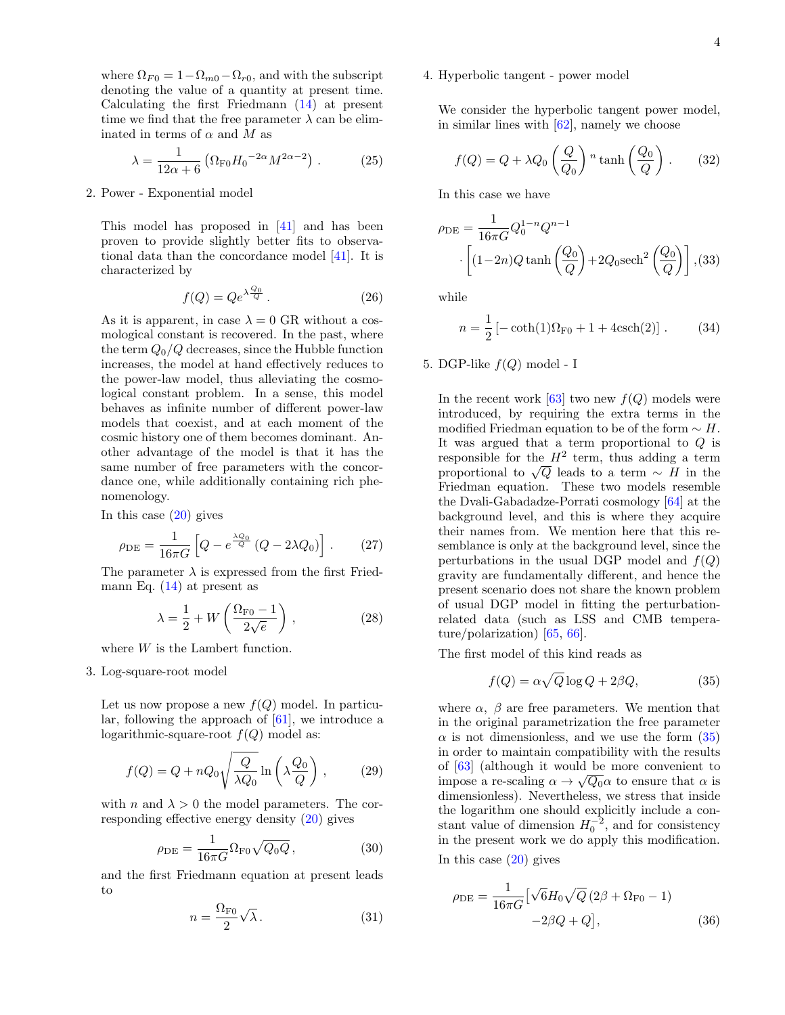where  $\Omega_{F0} = 1 - \Omega_{m0} - \Omega_{r0}$ , and with the subscript denoting the value of a quantity at present time. Calculating the first Friedmann (14) at present time we find that the free parameter  $\lambda$  can be eliminated in terms of  $\alpha$  and  $M$  as

$$
\lambda = \frac{1}{12\alpha + 6} \left( \Omega_{\text{F0}} H_0^{-2\alpha} M^{2\alpha - 2} \right) . \tag{25}
$$

## 2. Power - Exponential model

This model has proposed in [41] and has been proven to provide slightly better fits to observational data than the concordance model [41]. It is characterized by

$$
f(Q) = Qe^{\lambda \frac{Q_0}{Q}}.
$$
 (26)

As it is apparent, in case  $\lambda = 0$  GR without a cosmological constant is recovered. In the past, where the term  $Q_0/Q$  decreases, since the Hubble function increases, the model at hand effectively reduces to the power-law model, thus alleviating the cosmological constant problem. In a sense, this model behaves as infinite number of different power-law models that coexist, and at each moment of the cosmic history one of them becomes dominant. Another advantage of the model is that it has the same number of free parameters with the concordance one, while additionally containing rich phenomenology.

In this case  $(20)$  gives

$$
\rho_{\rm DE} = \frac{1}{16\pi G} \left[ Q - e^{\frac{\lambda Q_0}{Q}} \left( Q - 2\lambda Q_0 \right) \right]. \tag{27}
$$

The parameter  $\lambda$  is expressed from the first Friedmann Eq.  $(14)$  at present as

$$
\lambda = \frac{1}{2} + W\left(\frac{\Omega_{\text{F0}} - 1}{2\sqrt{e}}\right),\tag{28}
$$

where  $W$  is the Lambert function.

3. Log-square-root model

Let us now propose a new  $f(Q)$  model. In particular, following the approach of [61], we introduce a logarithmic-square-root  $f(Q)$  model as:

$$
f(Q) = Q + nQ_0 \sqrt{\frac{Q}{\lambda Q_0}} \ln\left(\lambda \frac{Q_0}{Q}\right),\qquad(29)
$$

with n and  $\lambda > 0$  the model parameters. The corresponding effective energy density (20) gives

$$
\rho_{\rm DE} = \frac{1}{16\pi G} \Omega_{\rm F0} \sqrt{Q_0 Q},\tag{30}
$$

and the first Friedmann equation at present leads to

$$
n = \frac{\Omega_{\text{F0}}}{2} \sqrt{\lambda} \,. \tag{31}
$$

## 4. Hyperbolic tangent - power model

We consider the hyperbolic tangent power model, in similar lines with [62], namely we choose

$$
f(Q) = Q + \lambda Q_0 \left(\frac{Q}{Q_0}\right)^n \tanh\left(\frac{Q_0}{Q}\right). \tag{32}
$$

In this case we have

$$
\rho_{\rm DE} = \frac{1}{16\pi G} Q_0^{1-n} Q^{n-1}
$$

$$
\left[ (1-2n)Q \tanh\left(\frac{Q_0}{Q}\right) + 2Q_0 \operatorname{sech}^2\left(\frac{Q_0}{Q}\right) \right], (33)
$$

while

$$
n = \frac{1}{2} \left[ -\coth(1)\Omega_{\text{F0}} + 1 + 4\text{csch}(2) \right].
$$
 (34)

5. DGP-like  $f(Q)$  model - I

In the recent work [63] two new  $f(Q)$  models were introduced, by requiring the extra terms in the modified Friedman equation to be of the form  $\sim H$ . It was argued that a term proportional to Q is responsible for the  $H^2$  term, thus adding a term responsible for the  $H^-$  term, thus adding a term<br>proportional to  $\sqrt{Q}$  leads to a term  $\sim H$  in the Friedman equation. These two models resemble the Dvali-Gabadadze-Porrati cosmology [64] at the background level, and this is where they acquire their names from. We mention here that this resemblance is only at the background level, since the perturbations in the usual DGP model and  $f(Q)$ gravity are fundamentally different, and hence the present scenario does not share the known problem of usual DGP model in fitting the perturbationrelated data (such as LSS and CMB temperature/polarization) [65, 66].

The first model of this kind reads as

$$
f(Q) = \alpha \sqrt{Q} \log Q + 2\beta Q, \tag{35}
$$

where  $\alpha$ ,  $\beta$  are free parameters. We mention that in the original parametrization the free parameter  $\alpha$  is not dimensionless, and we use the form  $(35)$ in order to maintain compatibility with the results of  $[63]$  (although it would be more convenient to impose a re-scaling  $\alpha \to \sqrt{Q_0} \alpha$  to ensure that  $\alpha$  is dimensionless). Nevertheless, we stress that inside the logarithm one should explicitly include a constant value of dimension  $H_0^{-2}$ , and for consistency in the present work we do apply this modification.

In this case  $(20)$  gives

$$
\rho_{DE} = \frac{1}{16\pi G} \left[ \sqrt{6} H_0 \sqrt{Q} (2\beta + \Omega_{F0} - 1) - 2\beta Q + Q \right],
$$
\n(36)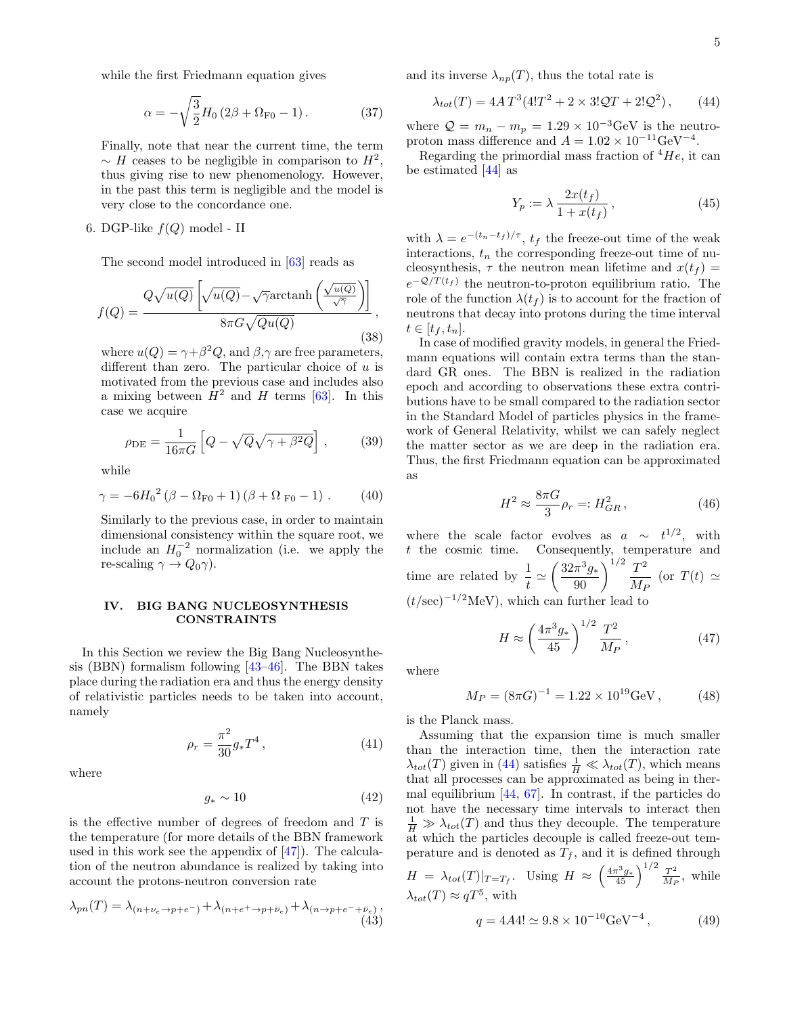while the first Friedmann equation gives

$$
\alpha = -\sqrt{\frac{3}{2}}H_0 \left(2\beta + \Omega_{\text{F0}} - 1\right). \tag{37}
$$

Finally, note that near the current time, the term  $\sim H$  ceases to be negligible in comparison to  $H^2$ , thus giving rise to new phenomenology. However, in the past this term is negligible and the model is very close to the concordance one.

6. DGP-like  $f(Q)$  model - II

The second model introduced in [63] reads as

$$
f(Q) = \frac{Q\sqrt{u(Q)}\left[\sqrt{u(Q)} - \sqrt{\gamma}\arctan\left(\frac{\sqrt{u(Q)}}{\sqrt{\gamma}}\right)\right]}{8\pi G\sqrt{Qu(Q)}},
$$
\n(38)

where  $u(Q) = \gamma + \beta^2 Q$ , and  $\beta, \gamma$  are free parameters, different than zero. The particular choice of  $u$  is motivated from the previous case and includes also a mixing between  $H^2$  and H terms [63]. In this case we acquire

$$
\rho_{\rm DE} = \frac{1}{16\pi G} \left[ Q - \sqrt{Q} \sqrt{\gamma + \beta^2 Q} \right],\tag{39}
$$

while

$$
\gamma = -6H_0^2 (\beta - \Omega_{F0} + 1) (\beta + \Omega_{F0} - 1) . \tag{40}
$$

Similarly to the previous case, in order to maintain dimensional consistency within the square root, we include an  $H_0^{-2}$  normalization (i.e. we apply the re-scaling  $\gamma \to Q_0 \gamma$ ).

### IV. BIG BANG NUCLEOSYNTHESIS CONSTRAINTS

In this Section we review the Big Bang Nucleosynthesis (BBN) formalism following [43–46]. The BBN takes place during the radiation era and thus the energy density of relativistic particles needs to be taken into account, namely

$$
\rho_r = \frac{\pi^2}{30} g_* T^4 \,, \tag{41}
$$

where

$$
g_* \sim 10\tag{42}
$$

is the effective number of degrees of freedom and  $T$  is the temperature (for more details of the BBN framework used in this work see the appendix of  $[47]$ . The calculation of the neutron abundance is realized by taking into account the protons-neutron conversion rate

$$
\lambda_{pn}(T) = \lambda_{(n+\nu_e \to p+e^-)} + \lambda_{(n+e^+ \to p+\bar{\nu}_e)} + \lambda_{(n\to p+e^- + \bar{\nu}_e)},
$$
\n(43)

and its inverse  $\lambda_{np}(T)$ , thus the total rate is

$$
\lambda_{tot}(T) = 4AT^3(4!T^2 + 2 \times 3!QT + 2!Q^2), \qquad (44)
$$

where  $Q = m_n - m_p = 1.29 \times 10^{-3} \text{GeV}$  is the neutroproton mass difference and  $A = 1.02 \times 10^{-11} \text{GeV}^{-4}$ .

Regarding the primordial mass fraction of  ${}^4He$ , it can be estimated [44] as

$$
Y_p := \lambda \frac{2x(t_f)}{1 + x(t_f)},\tag{45}
$$

with  $\lambda = e^{-(t_n - t_f)/\tau}$ ,  $t_f$  the freeze-out time of the weak interactions,  $t_n$  the corresponding freeze-out time of nucleosynthesis,  $\tau$  the neutron mean lifetime and  $x(t_f)$  =  $e^{-Q/T(t_f)}$  the neutron-to-proton equilibrium ratio. The role of the function  $\lambda(t_f)$  is to account for the fraction of neutrons that decay into protons during the time interval  $t \in [t_f, t_n].$ 

In case of modified gravity models, in general the Friedmann equations will contain extra terms than the standard GR ones. The BBN is realized in the radiation epoch and according to observations these extra contributions have to be small compared to the radiation sector in the Standard Model of particles physics in the framework of General Relativity, whilst we can safely neglect the matter sector as we are deep in the radiation era. Thus, the first Friedmann equation can be approximated as

$$
H^2 \approx \frac{8\pi G}{3} \rho_r =: H_{GR}^2, \qquad (46)
$$

where the scale factor evolves as  $a \sim t^{1/2}$ , with t the cosmic time. Consequently, temperature and time are related by  $\frac{1}{t} \simeq \left(\frac{32\pi^3 g_*}{90}\right)^{1/2} \frac{T^2}{M_I}$  $\frac{1}{M_P}$  (or  $T(t) \simeq$  $(t/\text{sec})^{-1/2}\text{MeV}$ , which can further lead to

$$
H \approx \left(\frac{4\pi^3 g_*}{45}\right)^{1/2} \frac{T^2}{M_P},\tag{47}
$$

where

$$
M_P = (8\pi G)^{-1} = 1.22 \times 10^{19} \text{GeV},\qquad(48)
$$

is the Planck mass.

Assuming that the expansion time is much smaller than the interaction time, then the interaction rate  $\lambda_{tot}(T)$  given in (44) satisfies  $\frac{1}{H} \ll \lambda_{tot}(T)$ , which means that all processes can be approximated as being in thermal equilibrium [44, 67]. In contrast, if the particles do not have the necessary time intervals to interact then  $\frac{1}{H} \gg \lambda_{tot}(T)$  and thus they decouple. The temperature at which the particles decouple is called freeze-out temperature and is denoted as  $T_f$ , and it is defined through  $H = \lambda_{tot}(T)|_{T=T_f}$ . Using  $H \approx \left(\frac{4\pi^3 g_*}{45}\right)^{1/2} \frac{T^2}{M_f}$  $\frac{T^2}{M_P}$ , while  $\lambda_{tot}(T) \approx qT^5$ , with

$$
q = 4A4! \simeq 9.8 \times 10^{-10} \text{GeV}^{-4},\tag{49}
$$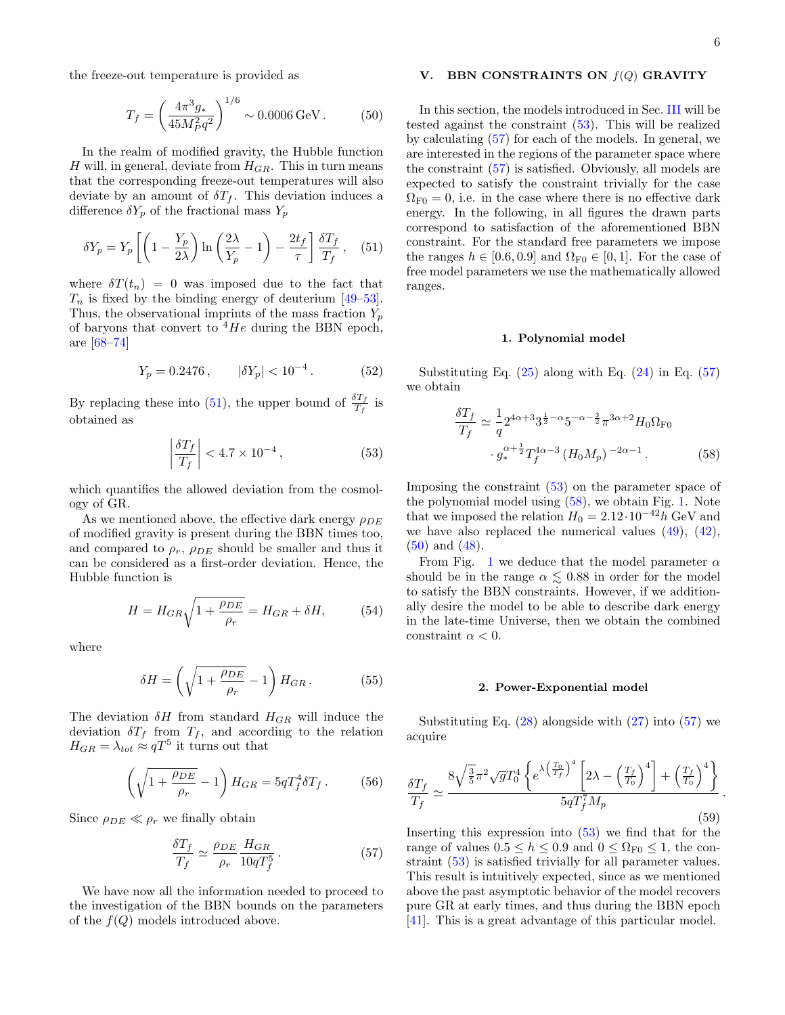.

the freeze-out temperature is provided as

$$
T_f = \left(\frac{4\pi^3 g_*}{45M_P^2 q^2}\right)^{1/6} \sim 0.0006 \,\text{GeV} \,. \tag{50}
$$

In the realm of modified gravity, the Hubble function H will, in general, deviate from  $H_{GR}$ . This in turn means that the corresponding freeze-out temperatures will also deviate by an amount of  $\delta T_f$ . This deviation induces a difference  $\delta Y_p$  of the fractional mass  $Y_p$ 

$$
\delta Y_p = Y_p \left[ \left( 1 - \frac{Y_p}{2\lambda} \right) \ln \left( \frac{2\lambda}{Y_p} - 1 \right) - \frac{2t_f}{\tau} \right] \frac{\delta T_f}{T_f}, \quad (51)
$$

where  $\delta T(t_n) = 0$  was imposed due to the fact that  $T_n$  is fixed by the binding energy of deuterium [49–53]. Thus, the observational imprints of the mass fraction  $Y_p$ of baryons that convert to  $4He$  during the BBN epoch, are [68–74]

$$
Y_p = 0.2476 \,, \qquad |\delta Y_p| < 10^{-4} \,. \tag{52}
$$

By replacing these into (51), the upper bound of  $\frac{\delta T_f}{T_f}$  is obtained as

$$
\left|\frac{\delta T_f}{T_f}\right| < 4.7 \times 10^{-4} \,,\tag{53}
$$

which quantifies the allowed deviation from the cosmology of GR.

As we mentioned above, the effective dark energy  $\rho_{DE}$ of modified gravity is present during the BBN times too, and compared to  $\rho_r$ ,  $\rho_{DE}$  should be smaller and thus it can be considered as a first-order deviation. Hence, the Hubble function is

$$
H = H_{GR} \sqrt{1 + \frac{\rho_{DE}}{\rho_r}} = H_{GR} + \delta H, \tag{54}
$$

where

$$
\delta H = \left(\sqrt{1 + \frac{\rho_{DE}}{\rho_r}} - 1\right) H_{GR}.
$$
 (55)

The deviation  $\delta H$  from standard  $H_{GR}$  will induce the deviation  $\delta T_f$  from  $T_f$ , and according to the relation  $H_{GR} = \lambda_{tot} \approx qT^5$  it turns out that

$$
\left(\sqrt{1+\frac{\rho_{DE}}{\rho_r}}-1\right)H_{GR} = 5qT_f^4\delta T_f. \tag{56}
$$

Since  $\rho_{DE} \ll \rho_r$  we finally obtain

$$
\frac{\delta T_f}{T_f} \simeq \frac{\rho_{DE}}{\rho_r} \frac{H_{GR}}{10qT_f^5} \,. \tag{57}
$$

We have now all the information needed to proceed to the investigation of the BBN bounds on the parameters of the  $f(Q)$  models introduced above.

### V. BBN CONSTRAINTS ON  $f(Q)$  GRAVITY

In this section, the models introduced in Sec. III will be tested against the constraint (53). This will be realized by calculating (57) for each of the models. In general, we are interested in the regions of the parameter space where the constraint (57) is satisfied. Obviously, all models are expected to satisfy the constraint trivially for the case  $\Omega_{\text{F0}} = 0$ , i.e. in the case where there is no effective dark energy. In the following, in all figures the drawn parts correspond to satisfaction of the aforementioned BBN constraint. For the standard free parameters we impose the ranges  $h \in [0.6, 0.9]$  and  $\Omega_{\text{F0}} \in [0, 1]$ . For the case of free model parameters we use the mathematically allowed ranges.

#### 1. Polynomial model

Substituting Eq.  $(25)$  along with Eq.  $(24)$  in Eq.  $(57)$ we obtain

$$
\frac{\delta T_f}{T_f} \simeq \frac{1}{q} 2^{4\alpha+3} 3^{\frac{1}{2}-\alpha} 5^{-\alpha-\frac{3}{2}} \pi^{3\alpha+2} H_0 \Omega_{\text{F0}} \cdot g_*^{\alpha+\frac{1}{2}} T_f^{4\alpha-3} (H_0 M_p)^{-2\alpha-1}
$$
\n(58)

Imposing the constraint (53) on the parameter space of the polynomial model using (58), we obtain Fig. 1. Note that we imposed the relation  $H_0 = 2.12 \cdot 10^{-42} h$  GeV and we have also replaced the numerical values  $(49)$ ,  $(42)$ , (50) and (48).

From Fig. 1 we deduce that the model parameter  $\alpha$ should be in the range  $\alpha \lesssim 0.88$  in order for the model to satisfy the BBN constraints. However, if we additionally desire the model to be able to describe dark energy in the late-time Universe, then we obtain the combined constraint  $\alpha < 0$ .

#### 2. Power-Exponential model

Substituting Eq.  $(28)$  alongside with  $(27)$  into  $(57)$  we acquire

$$
\frac{\delta T_f}{T_f} \simeq \frac{8\sqrt{\frac{3}{5}}\pi^2\sqrt{g}T_0^4 \left\{ e^{\lambda \left(\frac{T_0}{T_f}\right)^4} \left[2\lambda - \left(\frac{T_f}{T_0}\right)^4 \right] + \left(\frac{T_f}{T_0}\right)^4 \right\}}{5qT_f^7 M_p} \tag{59}
$$

Inserting this expression into (53) we find that for the range of values  $0.5 \le h \le 0.9$  and  $0 \le \Omega_{F0} \le 1$ , the constraint (53) is satisfied trivially for all parameter values. This result is intuitively expected, since as we mentioned above the past asymptotic behavior of the model recovers pure GR at early times, and thus during the BBN epoch [41]. This is a great advantage of this particular model.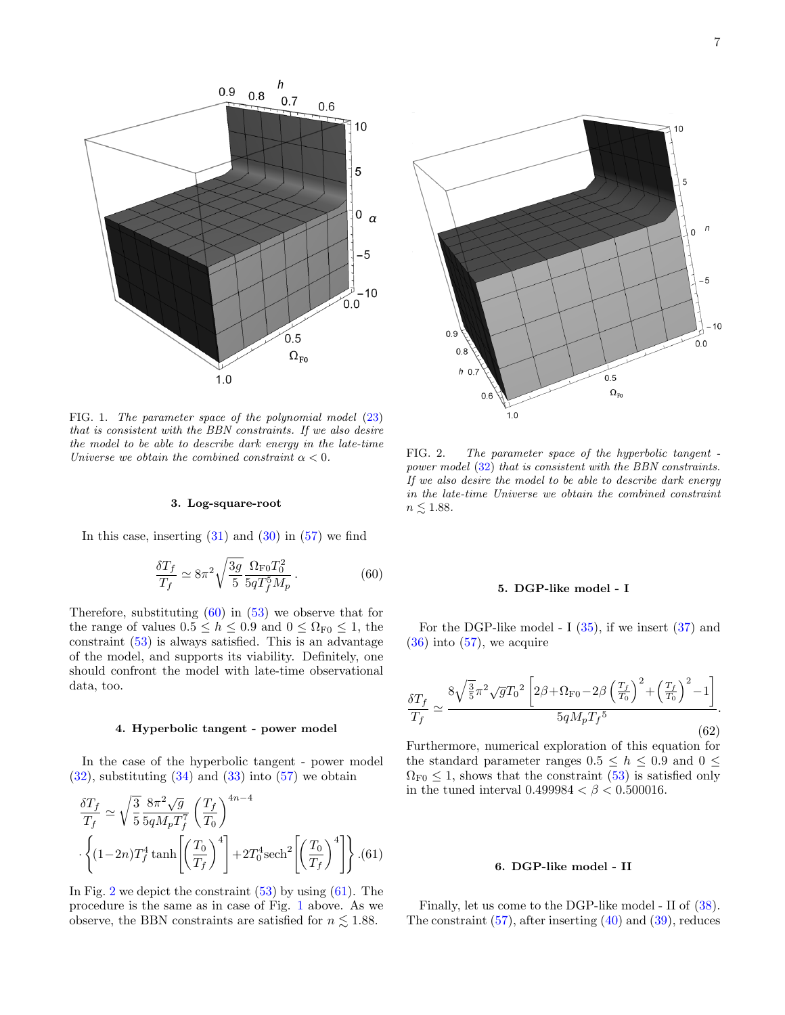

FIG. 1. The parameter space of the polynomial model  $(23)$ that is consistent with the BBN constraints. If we also desire the model to be able to describe dark energy in the late-time Universe we obtain the combined constraint  $\alpha < 0$ .

#### 3. Log-square-root

In this case, inserting  $(31)$  and  $(30)$  in  $(57)$  we find

$$
\frac{\delta T_f}{T_f} \simeq 8\pi^2 \sqrt{\frac{3g}{5}} \frac{\Omega_{\rm F0} T_0^2}{5qT_f^5 M_p} \,. \tag{60}
$$

Therefore, substituting  $(60)$  in  $(53)$  we observe that for the range of values  $0.5 \le h \le 0.9$  and  $0 \le \Omega_{\text{F0}} \le 1$ , the constraint (53) is always satisfied. This is an advantage of the model, and supports its viability. Definitely, one should confront the model with late-time observational data, too.

#### 4. Hyperbolic tangent - power model

In the case of the hyperbolic tangent - power model  $(32)$ , substituting  $(34)$  and  $(33)$  into  $(57)$  we obtain

$$
\frac{\delta T_f}{T_f} \simeq \sqrt{\frac{3}{5}} \frac{8\pi^2 \sqrt{g}}{5qM_pT_f^7} \left(\frac{T_f}{T_0}\right)^{4n-4} \cdot \left\{ (1-2n)T_f^4 \tanh\left[\left(\frac{T_0}{T_f}\right)^4\right] + 2T_0^4 \text{sech}^2\left[\left(\frac{T_0}{T_f}\right)^4\right] \right\} .(61)
$$

In Fig. 2 we depict the constraint  $(53)$  by using  $(61)$ . The procedure is the same as in case of Fig. 1 above. As we observe, the BBN constraints are satisfied for  $n \lesssim 1.88$ .



FIG. 2. The parameter space of the hyperbolic tangent power model (32) that is consistent with the BBN constraints. If we also desire the model to be able to describe dark energy in the late-time Universe we obtain the combined constraint  $n \lesssim 1.88$ .

# 5. DGP-like model - I

For the DGP-like model - I  $(35)$ , if we insert  $(37)$  and  $(36)$  into  $(57)$ , we acquire

$$
\frac{\delta T_f}{T_f} \simeq \frac{8\sqrt{\frac{3}{5}}\pi^2\sqrt{g}T_0^2 \left[2\beta + \Omega_{\text{F0}} - 2\beta \left(\frac{T_f}{T_0}\right)^2 + \left(\frac{T_f}{T_0}\right)^2 - 1\right]}{5qM_pT_f^5}.
$$
\n(62)

Furthermore, numerical exploration of this equation for the standard parameter ranges  $0.5 \leq h \leq 0.9$  and  $0 \leq$  $\Omega_{\text{F0}} \leq 1$ , shows that the constraint (53) is satisfied only in the tuned interval  $0.499984 < \beta < 0.500016$ .

#### 6. DGP-like model - II

Finally, let us come to the DGP-like model - II of (38). The constraint  $(57)$ , after inserting  $(40)$  and  $(39)$ , reduces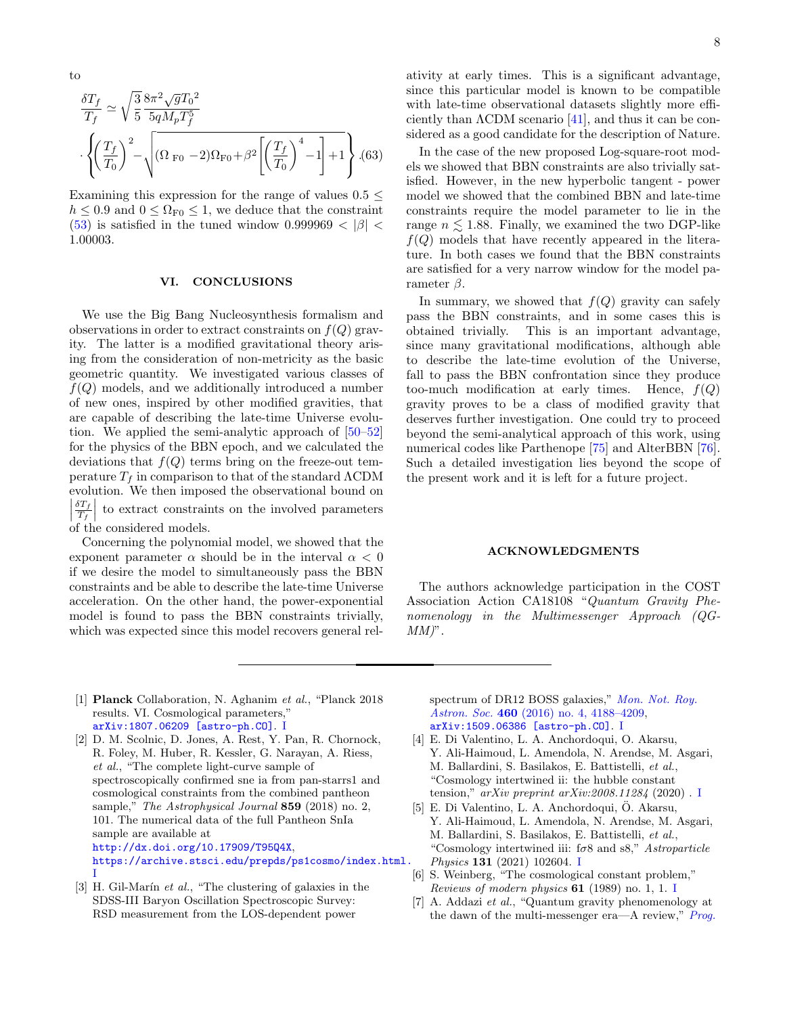$$
\rm to
$$

$$
\frac{\delta T_f}{T_f} \simeq \sqrt{\frac{3}{5}} \frac{8\pi^2 \sqrt{g} T_0^2}{5qM_p T_f^5} \n\cdot \left\{ \left(\frac{T_f}{T_0}\right)^2 - \sqrt{(\Omega_{\text{F0}} - 2)\Omega_{\text{F0}} + \beta^2 \left[\left(\frac{T_f}{T_0}\right)^4 - 1\right] + 1} \right\} .(63)
$$

Examining this expression for the range of values  $0.5 \leq$  $h \leq 0.9$  and  $0 \leq \Omega_{\text{F0}} \leq 1$ , we deduce that the constraint (53) is satisfied in the tuned window 0.999969  $< |\beta|$ 1.00003.

#### VI. CONCLUSIONS

We use the Big Bang Nucleosynthesis formalism and observations in order to extract constraints on  $f(Q)$  gravity. The latter is a modified gravitational theory arising from the consideration of non-metricity as the basic geometric quantity. We investigated various classes of  $f(Q)$  models, and we additionally introduced a number of new ones, inspired by other modified gravities, that are capable of describing the late-time Universe evolution. We applied the semi-analytic approach of [50–52] for the physics of the BBN epoch, and we calculated the deviations that  $f(Q)$  terms bring on the freeze-out temperature  $T_f$  in comparison to that of the standard  $\Lambda$ CDM evolution. We then imposed the observational bound on  $\frac{\delta T_f}{T_f}$  $\left| \begin{array}{c} T_f \\ \end{array} \right|$  of the considered models.  $\frac{ST_f}{T_f}$  to extract constraints on the involved parameters

Concerning the polynomial model, we showed that the exponent parameter  $\alpha$  should be in the interval  $\alpha < 0$ if we desire the model to simultaneously pass the BBN constraints and be able to describe the late-time Universe acceleration. On the other hand, the power-exponential model is found to pass the BBN constraints trivially, which was expected since this model recovers general relativity at early times. This is a significant advantage, since this particular model is known to be compatible with late-time observational datasets slightly more efficiently than  $\Lambda$ CDM scenario [41], and thus it can be considered as a good candidate for the description of Nature.

In the case of the new proposed Log-square-root models we showed that BBN constraints are also trivially satisfied. However, in the new hyperbolic tangent - power model we showed that the combined BBN and late-time constraints require the model parameter to lie in the range  $n \leq 1.88$ . Finally, we examined the two DGP-like  $f(Q)$  models that have recently appeared in the literature. In both cases we found that the BBN constraints are satisfied for a very narrow window for the model parameter  $\beta$ .

In summary, we showed that  $f(Q)$  gravity can safely pass the BBN constraints, and in some cases this is obtained trivially. This is an important advantage, since many gravitational modifications, although able to describe the late-time evolution of the Universe, fall to pass the BBN confrontation since they produce too-much modification at early times. Hence,  $f(Q)$ gravity proves to be a class of modified gravity that deserves further investigation. One could try to proceed beyond the semi-analytical approach of this work, using numerical codes like Parthenope [75] and AlterBBN [76]. Such a detailed investigation lies beyond the scope of the present work and it is left for a future project.

#### ACKNOWLEDGMENTS

The authors acknowledge participation in the COST Association Action CA18108 "Quantum Gravity Phenomenology in the Multimessenger Approach (QG- $MM$ ".

[1] Planck Collaboration, N. Aghanim et al., "Planck 2018 results. VI. Cosmological parameters," arXiv:1807.06209 [astro-ph.CO]. I

[3] H. Gil-Marín  $et$  al., "The clustering of galaxies in the SDSS-III Baryon Oscillation Spectroscopic Survey: RSD measurement from the LOS-dependent power

spectrum of DR12 BOSS galaxies," Mon. Not. Roy. Astron. Soc. 460 (2016) no. 4, 4188-4209, arXiv:1509.06386 [astro-ph.CO]. I

- [4] E. Di Valentino, L. A. Anchordoqui, O. Akarsu, Y. Ali-Haimoud, L. Amendola, N. Arendse, M. Asgari, M. Ballardini, S. Basilakos, E. Battistelli, et al., "Cosmology intertwined ii: the hubble constant tension," arXiv preprint arXiv:2008.11284 (2020). I
- [5] E. Di Valentino, L. A. Anchordoqui, O. Akarsu, ¨ Y. Ali-Haimoud, L. Amendola, N. Arendse, M. Asgari, M. Ballardini, S. Basilakos, E. Battistelli, et al., "Cosmology intertwined iii:  $f\sigma8$  and s8," Astroparticle Physics 131 (2021) 102604. I
- [6] S. Weinberg, "The cosmological constant problem," Reviews of modern physics  $61$  (1989) no. 1, 1. I
- [7] A. Addazi et al., "Quantum gravity phenomenology at the dawn of the multi-messenger era—A review,"  $Prog$ .

<sup>[2]</sup> D. M. Scolnic, D. Jones, A. Rest, Y. Pan, R. Chornock, R. Foley, M. Huber, R. Kessler, G. Narayan, A. Riess, et al., "The complete light-curve sample of spectroscopically confirmed sne ia from pan-starrs1 and cosmological constraints from the combined pantheon sample," The Astrophysical Journal 859 (2018) no. 2, 101. The numerical data of the full Pantheon SnIa sample are available at http://dx.doi.org/10.17909/T95Q4X, https://archive.stsci.edu/prepds/ps1cosmo/index.html. I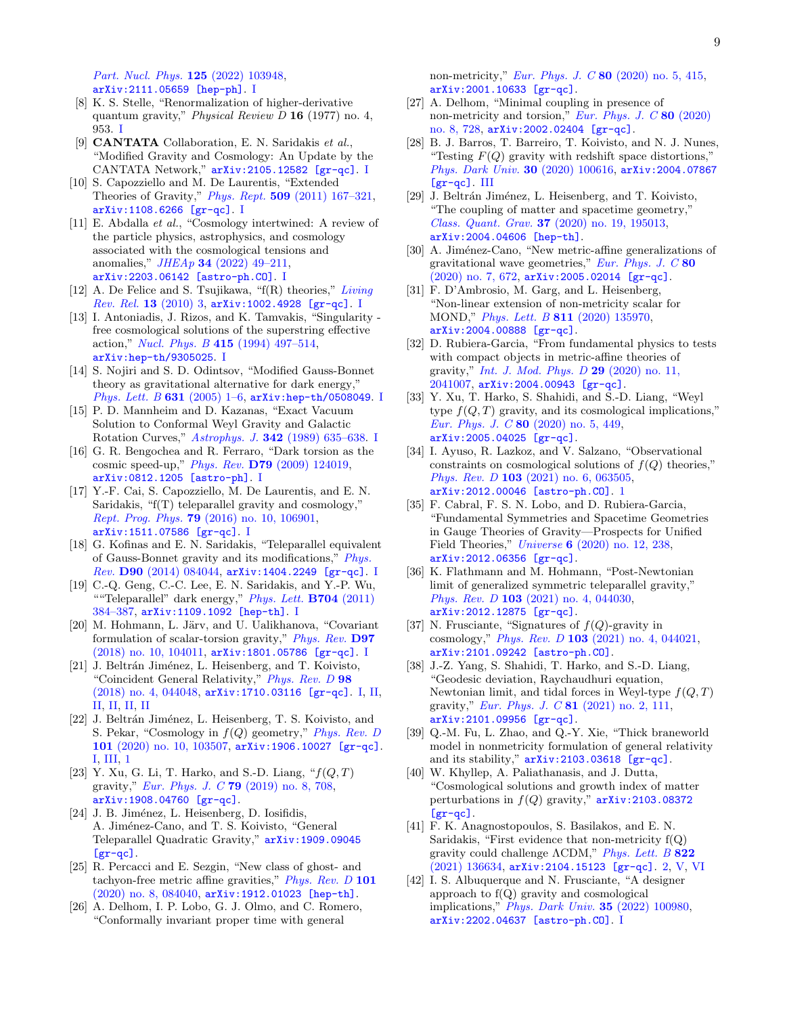Part. Nucl. Phys. 125 (2022) 103948, arXiv:2111.05659 [hep-ph]. I

- [8] K. S. Stelle, "Renormalization of higher-derivative quantum gravity," *Physical Review D* 16 (1977) no. 4, 953. I
- [9] CANTATA Collaboration, E. N. Saridakis et al., "Modified Gravity and Cosmology: An Update by the CANTATA Network," arXiv:2105.12582 [gr-qc]. I
- [10] S. Capozziello and M. De Laurentis, "Extended Theories of Gravity," Phys. Rept. 509 (2011) 167–321, arXiv:1108.6266 [gr-qc]. I
- [11] E. Abdalla et al., "Cosmology intertwined: A review of the particle physics, astrophysics, and cosmology associated with the cosmological tensions and anomalies,"  $JHEAp$  34 (2022) 49-211, arXiv:2203.06142 [astro-ph.CO]. I
- [12] A. De Felice and S. Tsujikawa, " $f(R)$  theories," Living  $Rev.$   $Rel.$  13 (2010) 3,  $arXiv:1002.4928$  [gr-qc]. I
- [13] I. Antoniadis, J. Rizos, and K. Tamvakis, "Singularity free cosmological solutions of the superstring effective action," Nucl. Phys. B 415 (1994) 497–514, arXiv:hep-th/9305025. I
- [14] S. Nojiri and S. D. Odintsov, "Modified Gauss-Bonnet theory as gravitational alternative for dark energy," Phys. Lett. B 631 (2005) 1-6, arXiv:hep-th/0508049. I
- [15] P. D. Mannheim and D. Kazanas, "Exact Vacuum Solution to Conformal Weyl Gravity and Galactic Rotation Curves," Astrophys. J. 342 (1989) 635–638. I
- [16] G. R. Bengochea and R. Ferraro, "Dark torsion as the cosmic speed-up," Phys. Rev. D79 (2009) 124019, arXiv:0812.1205 [astro-ph]. I
- [17] Y.-F. Cai, S. Capozziello, M. De Laurentis, and E. N. Saridakis, "f(T) teleparallel gravity and cosmology," Rept. Prog. Phys. 79 (2016) no. 10, 106901, arXiv:1511.07586 [gr-qc]. I
- [18] G. Kofinas and E. N. Saridakis, "Teleparallel equivalent of Gauss-Bonnet gravity and its modifications," Phys. Rev. D90 (2014) 084044, arXiv:1404.2249 [gr-qc]. I
- [19] C.-Q. Geng, C.-C. Lee, E. N. Saridakis, and Y.-P. Wu, ""Teleparallel" dark energy,"  $Phys. Lett. B704 (2011)$ 384–387, arXiv:1109.1092 [hep-th]. I
- [20] M. Hohmann, L. Järv, and U. Ualikhanova, "Covariant formulation of scalar-torsion gravity," Phys. Rev. D97 (2018) no. 10, 104011, arXiv:1801.05786 [gr-qc]. I
- [21] J. Beltrán Jiménez, L. Heisenberg, and T. Koivisto, "Coincident General Relativity," *Phys. Rev. D* 98 (2018) no. 4, 044048, arXiv:1710.03116 [gr-qc]. I, II, II, II, II, II
- [22] J. Beltrán Jiménez, L. Heisenberg, T. S. Koivisto, and S. Pekar, "Cosmology in  $f(Q)$  geometry," Phys. Rev. D 101 (2020) no. 10, 103507, arXiv:1906.10027 [gr-qc]. I, III, 1
- [23] Y. Xu, G. Li, T. Harko, and S.-D. Liang,  $\mathscr{C}f(Q,T)$ gravity," Eur. Phys. J. C 79 (2019) no. 8, 708, arXiv:1908.04760 [gr-qc].
- [24] J. B. Jiménez, L. Heisenberg, D. Iosifidis, A. Jiménez-Cano, and T. S. Koivisto, "General Teleparallel Quadratic Gravity," arXiv:1909.09045 [gr-qc].
- [25] R. Percacci and E. Sezgin, "New class of ghost- and tachyon-free metric affine gravities," Phys. Rev. D 101 (2020) no. 8, 084040, arXiv:1912.01023 [hep-th].
- [26] A. Delhom, I. P. Lobo, G. J. Olmo, and C. Romero, "Conformally invariant proper time with general

non-metricity," Eur. Phys. J. C 80 (2020) no. 5, 415, arXiv:2001.10633 [gr-qc].

- [27] A. Delhom, "Minimal coupling in presence of non-metricity and torsion," Eur. Phys. J. C  $80$  (2020) no. 8, 728, arXiv:2002.02404 [gr-qc].
- [28] B. J. Barros, T. Barreiro, T. Koivisto, and N. J. Nunes, "Testing  $F(Q)$  gravity with redshift space distortions," Phys. Dark Univ. 30 (2020) 100616, arXiv:2004.07867 [gr-qc]. III
- [29] J. Beltrán Jiménez, L. Heisenberg, and T. Koivisto, "The coupling of matter and spacetime geometry," Class. Quant. Grav. 37 (2020) no. 19, 195013, arXiv:2004.04606 [hep-th].
- [30] A. Jiménez-Cano, "New metric-affine generalizations of gravitational wave geometries," Eur. Phys. J.  $C$  80 (2020) no. 7, 672, arXiv:2005.02014 [gr-qc].
- [31] F. D'Ambrosio, M. Garg, and L. Heisenberg, "Non-linear extension of non-metricity scalar for MOND," Phys. Lett. B 811 (2020) 135970, arXiv:2004.00888 [gr-qc].
- [32] D. Rubiera-Garcia, "From fundamental physics to tests with compact objects in metric-affine theories of gravity," Int. J. Mod. Phys. D 29 (2020) no. 11, 2041007, arXiv:2004.00943 [gr-qc].
- [33] Y. Xu, T. Harko, S. Shahidi, and S.-D. Liang, "Weyl type  $f(Q, T)$  gravity, and its cosmological implications," Eur. Phys. J. C 80 (2020) no. 5, 449, arXiv:2005.04025 [gr-qc].
- [34] I. Ayuso, R. Lazkoz, and V. Salzano, "Observational constraints on cosmological solutions of  $f(Q)$  theories," Phys. Rev. D 103 (2021) no. 6, 063505, arXiv:2012.00046 [astro-ph.CO]. 1
- [35] F. Cabral, F. S. N. Lobo, and D. Rubiera-Garcia, "Fundamental Symmetries and Spacetime Geometries in Gauge Theories of Gravity—Prospects for Unified Field Theories," Universe 6 (2020) no. 12, 238, arXiv:2012.06356 [gr-qc].
- [36] K. Flathmann and M. Hohmann, "Post-Newtonian limit of generalized symmetric teleparallel gravity," Phys. Rev. D 103 (2021) no. 4, 044030, arXiv:2012.12875 [gr-qc].
- [37] N. Frusciante, "Signatures of  $f(Q)$ -gravity in cosmology," Phys. Rev. D 103 (2021) no. 4, 044021, arXiv:2101.09242 [astro-ph.CO].
- [38] J.-Z. Yang, S. Shahidi, T. Harko, and S.-D. Liang, "Geodesic deviation, Raychaudhuri equation, Newtonian limit, and tidal forces in Weyl-type  $f(Q, T)$ gravity," Eur. Phys. J. C 81 (2021) no. 2, 111, arXiv:2101.09956 [gr-qc].
- [39] Q.-M. Fu, L. Zhao, and Q.-Y. Xie, "Thick braneworld model in nonmetricity formulation of general relativity and its stability,"  $arXiv:2103.03618$  [gr-qc].
- [40] W. Khyllep, A. Paliathanasis, and J. Dutta, "Cosmological solutions and growth index of matter perturbations in  $f(Q)$  gravity,"  $arXiv:2103.08372$  $[gr-qc]$ .
- [41] F. K. Anagnostopoulos, S. Basilakos, and E. N. Saridakis, "First evidence that non-metricity  $f(Q)$ gravity could challenge ΛCDM," Phys. Lett. B 822 (2021) 136634, arXiv:2104.15123 [gr-qc]. 2, V, VI
- [42] I. S. Albuquerque and N. Frusciante, "A designer approach to f(Q) gravity and cosmological implications," Phys. Dark Univ. 35 (2022) 100980, arXiv:2202.04637 [astro-ph.CO]. I